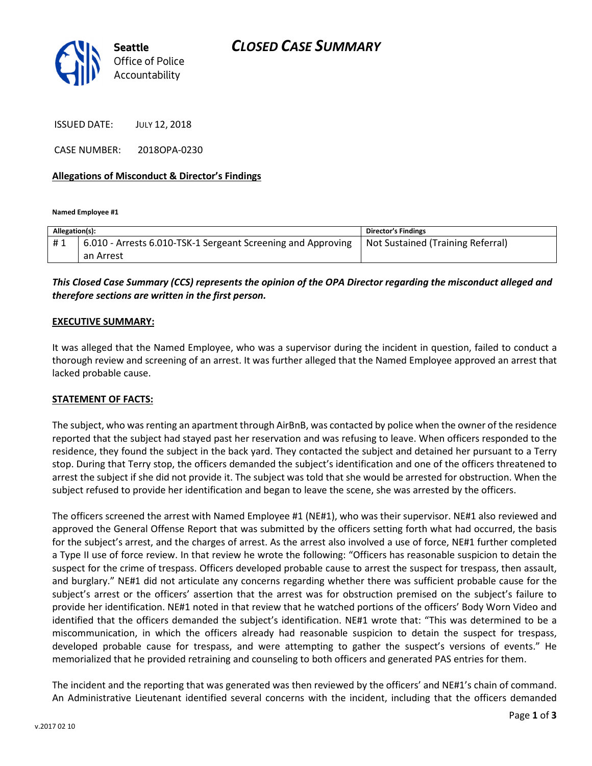

ISSUED DATE: JULY 12, 2018

CASE NUMBER: 2018OPA-0230

### Allegations of Misconduct & Director's Findings

Named Employee #1

| Allegation(s): |                                                              | <b>Director's Findings</b>        |
|----------------|--------------------------------------------------------------|-----------------------------------|
|                | 6.010 - Arrests 6.010-TSK-1 Sergeant Screening and Approving | Not Sustained (Training Referral) |
|                | an Arrest                                                    |                                   |

### This Closed Case Summary (CCS) represents the opinion of the OPA Director regarding the misconduct alleged and therefore sections are written in the first person.

### EXECUTIVE SUMMARY:

It was alleged that the Named Employee, who was a supervisor during the incident in question, failed to conduct a thorough review and screening of an arrest. It was further alleged that the Named Employee approved an arrest that lacked probable cause.

#### STATEMENT OF FACTS:

The subject, who was renting an apartment through AirBnB, was contacted by police when the owner of the residence reported that the subject had stayed past her reservation and was refusing to leave. When officers responded to the residence, they found the subject in the back yard. They contacted the subject and detained her pursuant to a Terry stop. During that Terry stop, the officers demanded the subject's identification and one of the officers threatened to arrest the subject if she did not provide it. The subject was told that she would be arrested for obstruction. When the subject refused to provide her identification and began to leave the scene, she was arrested by the officers.

The officers screened the arrest with Named Employee #1 (NE#1), who was their supervisor. NE#1 also reviewed and approved the General Offense Report that was submitted by the officers setting forth what had occurred, the basis for the subject's arrest, and the charges of arrest. As the arrest also involved a use of force, NE#1 further completed a Type II use of force review. In that review he wrote the following: "Officers has reasonable suspicion to detain the suspect for the crime of trespass. Officers developed probable cause to arrest the suspect for trespass, then assault, and burglary." NE#1 did not articulate any concerns regarding whether there was sufficient probable cause for the subject's arrest or the officers' assertion that the arrest was for obstruction premised on the subject's failure to provide her identification. NE#1 noted in that review that he watched portions of the officers' Body Worn Video and identified that the officers demanded the subject's identification. NE#1 wrote that: "This was determined to be a miscommunication, in which the officers already had reasonable suspicion to detain the suspect for trespass, developed probable cause for trespass, and were attempting to gather the suspect's versions of events." He memorialized that he provided retraining and counseling to both officers and generated PAS entries for them.

The incident and the reporting that was generated was then reviewed by the officers' and NE#1's chain of command. An Administrative Lieutenant identified several concerns with the incident, including that the officers demanded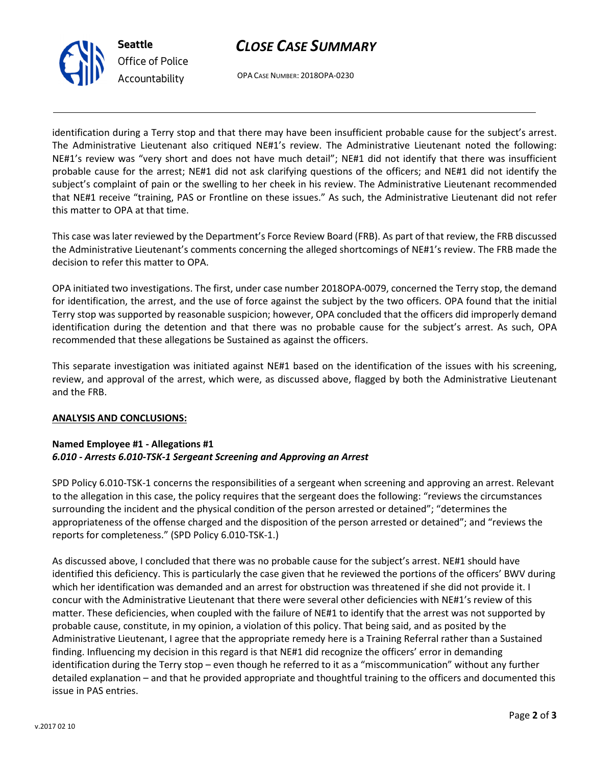# CLOSE CASE SUMMARY



Office of Police Accountability

OPA CASE NUMBER: 2018OPA-0230

identification during a Terry stop and that there may have been insufficient probable cause for the subject's arrest. The Administrative Lieutenant also critiqued NE#1's review. The Administrative Lieutenant noted the following: NE#1's review was "very short and does not have much detail"; NE#1 did not identify that there was insufficient probable cause for the arrest; NE#1 did not ask clarifying questions of the officers; and NE#1 did not identify the subject's complaint of pain or the swelling to her cheek in his review. The Administrative Lieutenant recommended that NE#1 receive "training, PAS or Frontline on these issues." As such, the Administrative Lieutenant did not refer this matter to OPA at that time.

This case was later reviewed by the Department's Force Review Board (FRB). As part of that review, the FRB discussed the Administrative Lieutenant's comments concerning the alleged shortcomings of NE#1's review. The FRB made the decision to refer this matter to OPA.

OPA initiated two investigations. The first, under case number 2018OPA-0079, concerned the Terry stop, the demand for identification, the arrest, and the use of force against the subject by the two officers. OPA found that the initial Terry stop was supported by reasonable suspicion; however, OPA concluded that the officers did improperly demand identification during the detention and that there was no probable cause for the subject's arrest. As such, OPA recommended that these allegations be Sustained as against the officers.

This separate investigation was initiated against NE#1 based on the identification of the issues with his screening, review, and approval of the arrest, which were, as discussed above, flagged by both the Administrative Lieutenant and the FRB.

## ANALYSIS AND CONCLUSIONS:

### Named Employee #1 - Allegations #1 6.010 - Arrests 6.010-TSK-1 Sergeant Screening and Approving an Arrest

SPD Policy 6.010-TSK-1 concerns the responsibilities of a sergeant when screening and approving an arrest. Relevant to the allegation in this case, the policy requires that the sergeant does the following: "reviews the circumstances surrounding the incident and the physical condition of the person arrested or detained"; "determines the appropriateness of the offense charged and the disposition of the person arrested or detained"; and "reviews the reports for completeness." (SPD Policy 6.010-TSK-1.)

As discussed above, I concluded that there was no probable cause for the subject's arrest. NE#1 should have identified this deficiency. This is particularly the case given that he reviewed the portions of the officers' BWV during which her identification was demanded and an arrest for obstruction was threatened if she did not provide it. I concur with the Administrative Lieutenant that there were several other deficiencies with NE#1's review of this matter. These deficiencies, when coupled with the failure of NE#1 to identify that the arrest was not supported by probable cause, constitute, in my opinion, a violation of this policy. That being said, and as posited by the Administrative Lieutenant, I agree that the appropriate remedy here is a Training Referral rather than a Sustained finding. Influencing my decision in this regard is that NE#1 did recognize the officers' error in demanding identification during the Terry stop – even though he referred to it as a "miscommunication" without any further detailed explanation – and that he provided appropriate and thoughtful training to the officers and documented this issue in PAS entries.